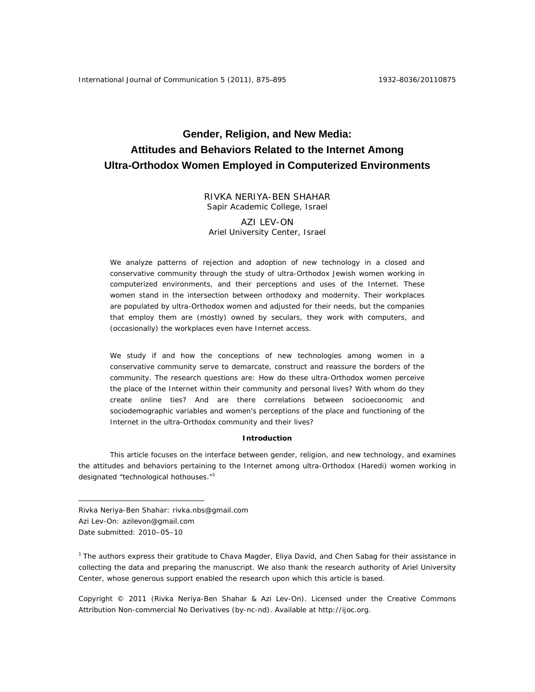# **Gender, Religion, and New Media: Attitudes and Behaviors Related to the Internet Among Ultra-Orthodox Women Employed in Computerized Environments**

RIVKA NERIYA-BEN SHAHAR Sapir Academic College, Israel

AZI LEV-ON Ariel University Center, Israel

We analyze patterns of rejection and adoption of new technology in a closed and conservative community through the study of ultra-Orthodox Jewish women working in computerized environments, and their perceptions and uses of the Internet. These women stand in the intersection between orthodoxy and modernity. Their workplaces are populated by ultra-Orthodox women and adjusted for their needs, but the companies that employ them are (mostly) owned by seculars, they work with computers, and (occasionally) the workplaces even have Internet access.

We study if and how the conceptions of new technologies among women in a conservative community serve to demarcate, construct and reassure the borders of the community. The research questions are: How do these ultra-Orthodox women perceive the place of the Internet within their community and personal lives? With whom do they create online ties? And are there correlations between socioeconomic and sociodemographic variables and women's perceptions of the place and functioning of the Internet in the ultra-Orthodox community and their lives?

#### **Introduction**

This article focuses on the interface between gender, religion, and new technology, and examines the attitudes and behaviors pertaining to the Internet among ultra-Orthodox (Haredi) women working in designated "technological hothouses."<sup>1</sup>

Rivka Neriya-Ben Shahar: rivka.nbs@gmail.com

 $\overline{a}$ 

<sup>1</sup> The authors express their gratitude to Chava Magder, Eliya David, and Chen Sabag for their assistance in collecting the data and preparing the manuscript. We also thank the research authority of Ariel University Center, whose generous support enabled the research upon which this article is based.

Copyright © 2011 (Rivka Neriya-Ben Shahar & Azi Lev-On). Licensed under the Creative Commons Attribution Non-commercial No Derivatives (by-nc-nd). Available at http://ijoc.org.

Azi Lev-On: azilevon@gmail.com

Date submitted: 2010–05–10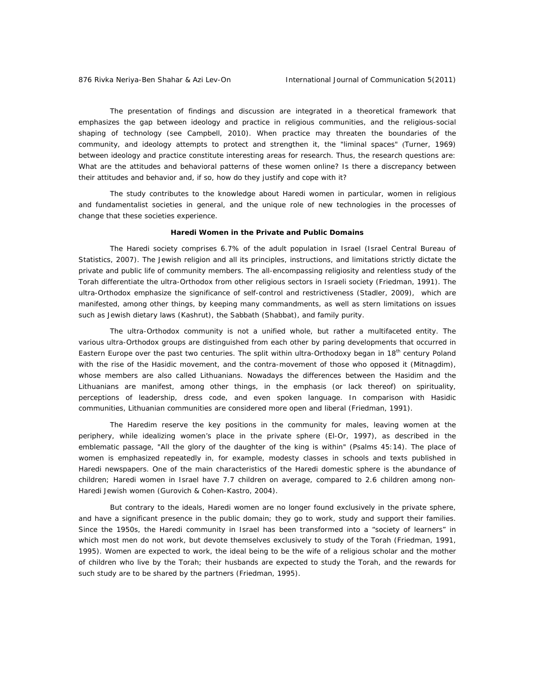The presentation of findings and discussion are integrated in a theoretical framework that emphasizes the gap between ideology and practice in religious communities, and the religious-social shaping of technology (see Campbell, 2010). When practice may threaten the boundaries of the community, and ideology attempts to protect and strengthen it, the "liminal spaces" (Turner, 1969) between ideology and practice constitute interesting areas for research. Thus, the research questions are: What are the attitudes and behavioral patterns of these women online? Is there a discrepancy between their attitudes and behavior and, if so, how do they justify and cope with it?

The study contributes to the knowledge about Haredi women in particular, women in religious and fundamentalist societies in general, and the unique role of new technologies in the processes of change that these societies experience.

# **Haredi Women in the Private and Public Domains**

The Haredi society comprises 6.7% of the adult population in Israel (Israel Central Bureau of Statistics, 2007). The Jewish religion and all its principles, instructions, and limitations strictly dictate the private and public life of community members. The all-encompassing religiosity and relentless study of the *Torah* differentiate the ultra-Orthodox from other religious sectors in Israeli society (Friedman, 1991). The ultra-Orthodox emphasize the significance of self-control and restrictiveness (Stadler, 2009), which are manifested, among other things, by keeping many commandments, as well as stern limitations on issues such as Jewish dietary laws (Kashrut), the Sabbath (Shabbat), and family purity.

The ultra-Orthodox community is not a unified whole, but rather a multifaceted entity. The various ultra-Orthodox groups are distinguished from each other by paring developments that occurred in Eastern Europe over the past two centuries. The split within ultra-Orthodoxy began in 18<sup>th</sup> century Poland with the rise of the Hasidic movement, and the contra-movement of those who opposed it (Mitnagdim), whose members are also called Lithuanians. Nowadays the differences between the Hasidim and the Lithuanians are manifest, among other things, in the emphasis (or lack thereof) on spirituality, perceptions of leadership, dress code, and even spoken language. In comparison with Hasidic communities, Lithuanian communities are considered more open and liberal (Friedman, 1991).

The Haredim reserve the key positions in the community for males, leaving women at the periphery, while idealizing women's place in the private sphere (El-Or, 1997), as described in the emblematic passage, "All the glory of the daughter of the king is within" (Psalms 45:14). The place of women is emphasized repeatedly in, for example, modesty classes in schools and texts published in Haredi newspapers. One of the main characteristics of the Haredi domestic sphere is the abundance of children; Haredi women in Israel have 7.7 children on average, compared to 2.6 children among non-Haredi Jewish women (Gurovich & Cohen-Kastro, 2004).

But contrary to the ideals, Haredi women are no longer found exclusively in the private sphere, and have a significant presence in the public domain; they go to work, study and support their families. Since the 1950s, the Haredi community in Israel has been transformed into a "society of learners" in which most men do not work, but devote themselves exclusively to study of the *Torah* (Friedman, 1991, 1995). Women are expected to work, the ideal being to be the wife of a religious scholar and the mother of children who live by the *Torah*; their husbands are expected to study the *Torah*, and the rewards for such study are to be shared by the partners (Friedman, 1995).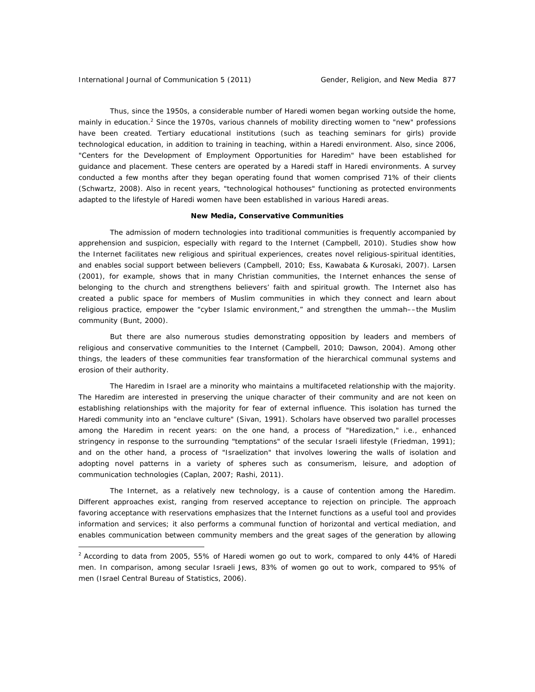$\overline{a}$ 

Thus, since the 1950s, a considerable number of Haredi women began working outside the home, mainly in education.<sup>2</sup> Since the 1970s, various channels of mobility directing women to "new" professions have been created. Tertiary educational institutions (such as teaching seminars for girls) provide technological education, in addition to training in teaching, within a Haredi environment. Also, since 2006, "Centers for the Development of Employment Opportunities for Haredim" have been established for guidance and placement. These centers are operated by a Haredi staff in Haredi environments. A survey conducted a few months after they began operating found that women comprised 71% of their clients (Schwartz, 2008). Also in recent years, "technological hothouses" functioning as protected environments adapted to the lifestyle of Haredi women have been established in various Haredi areas.

#### **New Media, Conservative Communities**

The admission of modern technologies into traditional communities is frequently accompanied by apprehension and suspicion, especially with regard to the Internet (Campbell, 2010). Studies show how the Internet facilitates new religious and spiritual experiences, creates novel religious-spiritual identities, and enables social support between believers (Campbell, 2010; Ess, Kawabata & Kurosaki, 2007). Larsen (2001), for example, shows that in many Christian communities, the Internet enhances the sense of belonging to the church and strengthens believers' faith and spiritual growth. The Internet also has created a public space for members of Muslim communities in which they connect and learn about religious practice, empower the "cyber Islamic environment," and strengthen the *ummah*––the Muslim community (Bunt, 2000).

But there are also numerous studies demonstrating opposition by leaders and members of religious and conservative communities to the Internet (Campbell, 2010; Dawson, 2004). Among other things, the leaders of these communities fear transformation of the hierarchical communal systems and erosion of their authority.

The Haredim in Israel are a minority who maintains a multifaceted relationship with the majority. The Haredim are interested in preserving the unique character of their community and are not keen on establishing relationships with the majority for fear of external influence. This isolation has turned the Haredi community into an "enclave culture" (Sivan, 1991). Scholars have observed two parallel processes among the Haredim in recent years: on the one hand, a process of "Haredization," i.e., enhanced stringency in response to the surrounding "temptations" of the secular Israeli lifestyle (Friedman, 1991); and on the other hand, a process of "Israelization" that involves lowering the walls of isolation and adopting novel patterns in a variety of spheres such as consumerism, leisure, and adoption of communication technologies (Caplan, 2007; Rashi, 2011).

The Internet, as a relatively new technology, is a cause of contention among the Haredim. Different approaches exist, ranging from reserved acceptance to rejection on principle. The approach favoring acceptance with reservations emphasizes that the Internet functions as a useful tool and provides information and services; it also performs a communal function of horizontal and vertical mediation, and enables communication between community members and the great sages of the generation by allowing

 $2$  According to data from 2005, 55% of Haredi women go out to work, compared to only 44% of Haredi men. In comparison, among secular Israeli Jews, 83% of women go out to work, compared to 95% of men (Israel Central Bureau of Statistics, 2006).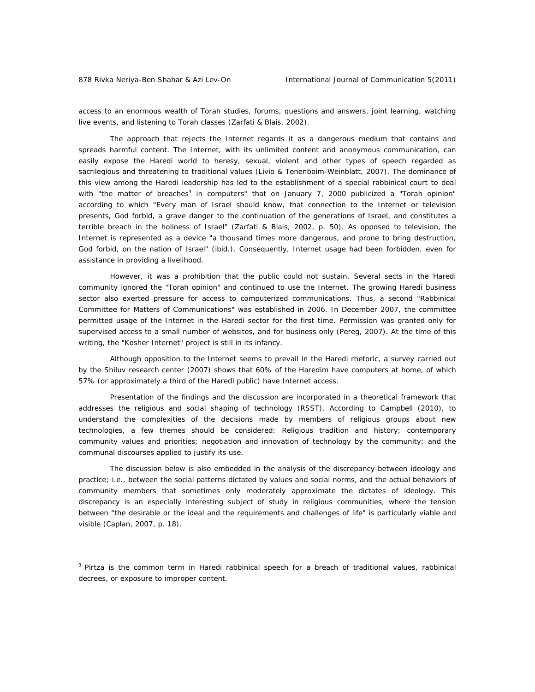$\overline{a}$ 

access to an enormous wealth of *Torah* studies, forums, questions and answers, joint learning, watching live events, and listening to *Torah* classes (Zarfati & Blais, 2002).

The approach that rejects the Internet regards it as a dangerous medium that contains and spreads harmful content. The Internet, with its unlimited content and anonymous communication, can easily expose the Haredi world to heresy, sexual, violent and other types of speech regarded as sacrilegious and threatening to traditional values (Livio & Tenenboim-Weinblatt, 2007). The dominance of this view among the Haredi leadership has led to the establishment of a special rabbinical court to deal with "the matter of breaches<sup>3</sup> in computers" that on January 7, 2000 publicized a "*Torah* opinion" according to which "Every man of Israel should know, that connection to the Internet or television presents, God forbid, a grave danger to the continuation of the generations of Israel, and constitutes a terrible breach in the holiness of Israel" (Zarfati & Blais, 2002, p. 50). As opposed to television, the Internet is represented as a device "a thousand times more dangerous, and prone to bring destruction, God forbid, on the nation of Israel" (ibid.). Consequently, Internet usage had been forbidden, even for assistance in providing a livelihood.

However, it was a prohibition that the public could not sustain. Several sects in the Haredi community ignored the "*Torah* opinion" and continued to use the Internet. The growing Haredi business sector also exerted pressure for access to computerized communications. Thus, a second "Rabbinical Committee for Matters of Communications" was established in 2006. In December 2007, the committee permitted usage of the Internet in the Haredi sector for the first time. Permission was granted only for supervised access to a small number of websites, and for business only (Pereg, 2007). At the time of this writing, the "Kosher Internet" project is still in its infancy.

Although opposition to the Internet seems to prevail in the Haredi rhetoric, a survey carried out by the Shiluv research center (2007) shows that 60% of the Haredim have computers at home, of which 57% (or approximately a third of the Haredi public) have Internet access.

Presentation of the findings and the discussion are incorporated in a theoretical framework that addresses the religious and social shaping of technology (RSST). According to Campbell (2010), to understand the complexities of the decisions made by members of religious groups about new technologies, a few themes should be considered: Religious tradition and history; contemporary community values and priorities; negotiation and innovation of technology by the community; and the communal discourses applied to justify its use.

The discussion below is also embedded in the analysis of the discrepancy between ideology and practice; i.e., between the social patterns dictated by values and social norms, and the actual behaviors of community members that sometimes only moderately approximate the dictates of ideology. This discrepancy is an especially interesting subject of study in religious communities, where the tension between "the desirable or the ideal and the requirements and challenges of life" is particularly viable and visible (Caplan, 2007, p. 18).

<sup>3</sup> *Pirtza* is the common term in Haredi rabbinical speech for a breach of traditional values, rabbinical decrees, or exposure to improper content.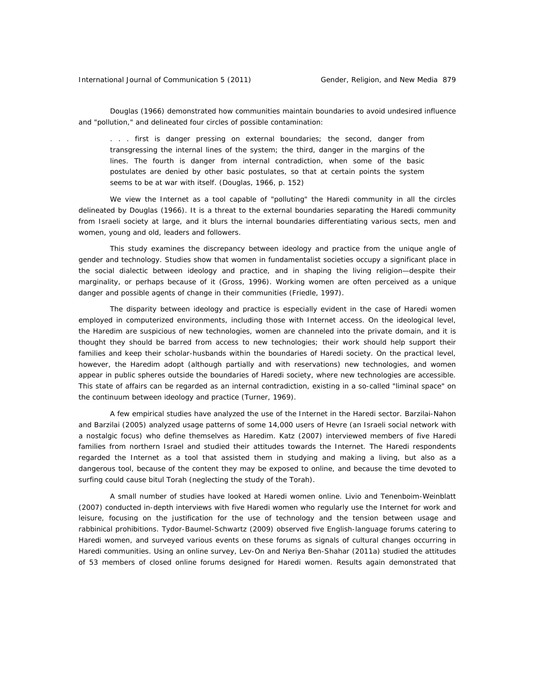Douglas (1966) demonstrated how communities maintain boundaries to avoid undesired influence and "pollution," and delineated four circles of possible contamination:

. . . first is danger pressing on external boundaries; the second, danger from transgressing the internal lines of the system; the third, danger in the margins of the lines. The fourth is danger from internal contradiction, when some of the basic postulates are denied by other basic postulates, so that at certain points the system seems to be at war with itself. (Douglas, 1966, p. 152)

We view the Internet as a tool capable of "polluting" the Haredi community in all the circles delineated by Douglas (1966). It is a threat to the external boundaries separating the Haredi community from Israeli society at large, and it blurs the internal boundaries differentiating various sects, men and women, young and old, leaders and followers.

This study examines the discrepancy between ideology and practice from the unique angle of gender and technology. Studies show that women in fundamentalist societies occupy a significant place in the social dialectic between ideology and practice, and in shaping the living religion—despite their marginality, or perhaps because of it (Gross, 1996). Working women are often perceived as a unique danger and possible agents of change in their communities (Friedle, 1997).

The disparity between ideology and practice is especially evident in the case of Haredi women employed in computerized environments, including those with Internet access. On the ideological level, the Haredim are suspicious of new technologies, women are channeled into the private domain, and it is thought they should be barred from access to new technologies; their work should help support their families and keep their scholar-husbands within the boundaries of Haredi society. On the practical level, however, the Haredim adopt (although partially and with reservations) new technologies, and women appear in public spheres outside the boundaries of Haredi society, where new technologies are accessible. This state of affairs can be regarded as an internal contradiction, existing in a so-called "liminal space" on the continuum between ideology and practice (Turner, 1969).

A few empirical studies have analyzed the use of the Internet in the Haredi sector. Barzilai-Nahon and Barzilai (2005) analyzed usage patterns of some 14,000 users of Hevre (an Israeli social network with a nostalgic focus) who define themselves as Haredim. Katz (2007) interviewed members of five Haredi families from northern Israel and studied their attitudes towards the Internet. The Haredi respondents regarded the Internet as a tool that assisted them in studying and making a living, but also as a dangerous tool, because of the content they may be exposed to online, and because the time devoted to surfing could cause *bitul Torah* (neglecting the study of the *Torah*).

A small number of studies have looked at Haredi women online. Livio and Tenenboim-Weinblatt (2007) conducted in-depth interviews with five Haredi women who regularly use the Internet for work and leisure, focusing on the justification for the use of technology and the tension between usage and rabbinical prohibitions. Tydor-Baumel-Schwartz (2009) observed five English-language forums catering to Haredi women, and surveyed various events on these forums as signals of cultural changes occurring in Haredi communities. Using an online survey, Lev-On and Neriya Ben-Shahar (2011a) studied the attitudes of 53 members of closed online forums designed for Haredi women. Results again demonstrated that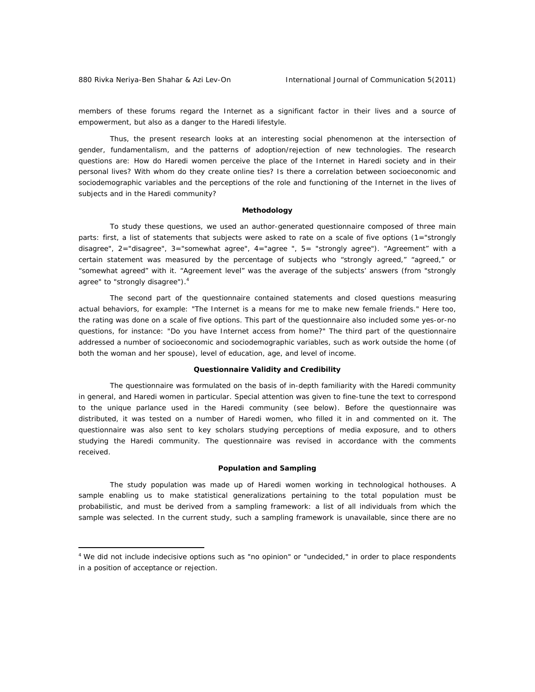$\overline{a}$ 

members of these forums regard the Internet as a significant factor in their lives and a source of empowerment, but also as a danger to the Haredi lifestyle.

Thus, the present research looks at an interesting social phenomenon at the intersection of gender, fundamentalism, and the patterns of adoption/rejection of new technologies. The research questions are: How do Haredi women perceive the place of the Internet in Haredi society and in their personal lives? With whom do they create online ties? Is there a correlation between socioeconomic and sociodemographic variables and the perceptions of the role and functioning of the Internet in the lives of subjects and in the Haredi community?

# **Methodology**

To study these questions, we used an author-generated questionnaire composed of three main parts: first, a list of statements that subjects were asked to rate on a scale of five options (1="strongly disagree", 2="disagree", 3="somewhat agree", 4="agree ", 5= "strongly agree"). "Agreement" with a certain statement was measured by the percentage of subjects who "strongly agreed," "agreed," or "somewhat agreed" with it. "Agreement level" was the average of the subjects' answers (from "strongly agree" to "strongly disagree").<sup>4</sup>

The second part of the questionnaire contained statements and closed questions measuring actual behaviors, for example: "The Internet is a means for me to make new female friends." Here too, the rating was done on a scale of five options. This part of the questionnaire also included some yes-or-no questions, for instance: "Do you have Internet access from home?" The third part of the questionnaire addressed a number of socioeconomic and sociodemographic variables, such as work outside the home (of both the woman and her spouse), level of education, age, and level of income.

# **Questionnaire Validity and Credibility**

The questionnaire was formulated on the basis of in-depth familiarity with the Haredi community in general, and Haredi women in particular. Special attention was given to fine-tune the text to correspond to the unique parlance used in the Haredi community (see below). Before the questionnaire was distributed, it was tested on a number of Haredi women, who filled it in and commented on it. The questionnaire was also sent to key scholars studying perceptions of media exposure, and to others studying the Haredi community. The questionnaire was revised in accordance with the comments received.

#### **Population and Sampling**

The study population was made up of Haredi women working in technological hothouses. A sample enabling us to make statistical generalizations pertaining to the total population must be probabilistic, and must be derived from a sampling framework: a list of all individuals from which the sample was selected. In the current study, such a sampling framework is unavailable, since there are no

<sup>&</sup>lt;sup>4</sup> We did not include indecisive options such as "no opinion" or "undecided," in order to place respondents in a position of acceptance or rejection.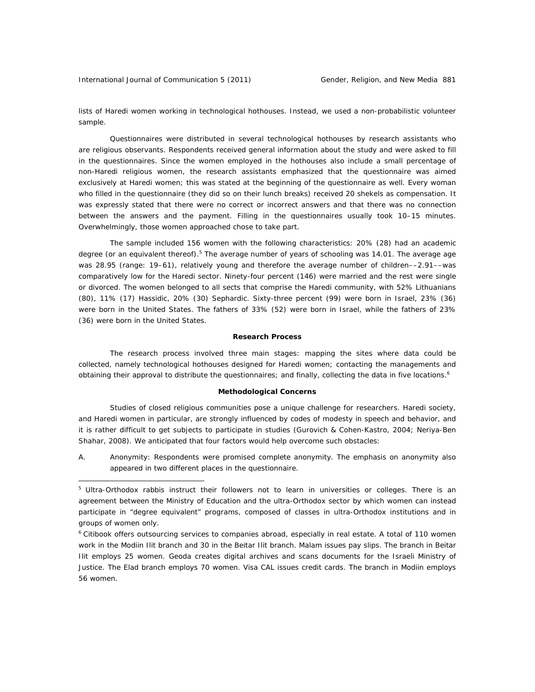International Journal of Communication 5 (2011) Gender, Religion, and New Media 881

 $\overline{a}$ 

lists of Haredi women working in technological hothouses. Instead, we used a non-probabilistic volunteer sample.

Questionnaires were distributed in several technological hothouses by research assistants who are religious observants. Respondents received general information about the study and were asked to fill in the questionnaires. Since the women employed in the hothouses also include a small percentage of non-Haredi religious women, the research assistants emphasized that the questionnaire was aimed exclusively at Haredi women; this was stated at the beginning of the questionnaire as well. Every woman who filled in the questionnaire (they did so on their lunch breaks) received 20 shekels as compensation. It was expressly stated that there were no correct or incorrect answers and that there was no connection between the answers and the payment. Filling in the questionnaires usually took 10–15 minutes. Overwhelmingly, those women approached chose to take part.

The sample included 156 women with the following characteristics: 20% (28) had an academic degree (or an equivalent thereof).<sup>5</sup> The average number of years of schooling was 14.01. The average age was 28.95 (range: 19–61), relatively young and therefore the average number of children––2.91––was comparatively low for the Haredi sector. Ninety-four percent (146) were married and the rest were single or divorced. The women belonged to all sects that comprise the Haredi community, with 52% Lithuanians (80), 11% (17) Hassidic, 20% (30) Sephardic. Sixty-three percent (99) were born in Israel, 23% (36) were born in the United States. The fathers of 33% (52) were born in Israel, while the fathers of 23% (36) were born in the United States.

# **Research Process**

The research process involved three main stages: mapping the sites where data could be collected, namely technological hothouses designed for Haredi women; contacting the managements and obtaining their approval to distribute the questionnaires; and finally, collecting the data in five locations.<sup>6</sup>

#### **Methodological Concerns**

Studies of closed religious communities pose a unique challenge for researchers. Haredi society, and Haredi women in particular, are strongly influenced by codes of modesty in speech and behavior, and it is rather difficult to get subjects to participate in studies (Gurovich & Cohen-Kastro, 2004; Neriya-Ben Shahar, 2008). We anticipated that four factors would help overcome such obstacles:

A. Anonymity: Respondents were promised complete anonymity. The emphasis on anonymity also appeared in two different places in the questionnaire.

<sup>&</sup>lt;sup>5</sup> Ultra-Orthodox rabbis instruct their followers not to learn in universities or colleges. There is an agreement between the Ministry of Education and the ultra-Orthodox sector by which women can instead participate in "degree equivalent" programs, composed of classes in ultra-Orthodox institutions and in groups of women only.

<sup>6</sup> Citibook offers outsourcing services to companies abroad, especially in real estate. A total of 110 women work in the Modiin Ilit branch and 30 in the Beitar Ilit branch. Malam issues pay slips. The branch in Beitar Ilit employs 25 women. Geoda creates digital archives and scans documents for the Israeli Ministry of Justice. The Elad branch employs 70 women. Visa CAL issues credit cards. The branch in Modiin employs 56 women.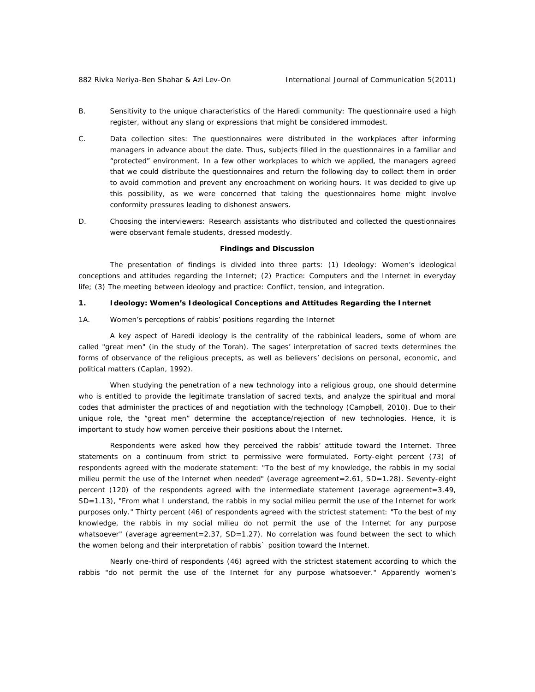- B. Sensitivity to the unique characteristics of the Haredi community: The questionnaire used a high register, without any slang or expressions that might be considered immodest.
- C. Data collection sites: The questionnaires were distributed in the workplaces after informing managers in advance about the date. Thus, subjects filled in the questionnaires in a familiar and "protected" environment. In a few other workplaces to which we applied, the managers agreed that we could distribute the questionnaires and return the following day to collect them in order to avoid commotion and prevent any encroachment on working hours. It was decided to give up this possibility, as we were concerned that taking the questionnaires home might involve conformity pressures leading to dishonest answers.
- D. Choosing the interviewers: Research assistants who distributed and collected the questionnaires were observant female students, dressed modestly.

#### **Findings and Discussion**

The presentation of findings is divided into three parts: (1) Ideology: Women's ideological conceptions and attitudes regarding the Internet; (2) Practice: Computers and the Internet in everyday life; (3) The meeting between ideology and practice: Conflict, tension, and integration.

# *1. Ideology: Women's Ideological Conceptions and Attitudes Regarding the Internet*

1A. Women's perceptions of rabbis' positions regarding the Internet

A key aspect of Haredi ideology is the centrality of the rabbinical leaders, some of whom are called "great men" (in the study of the *Torah*). The sages' interpretation of sacred texts determines the forms of observance of the religious precepts, as well as believers' decisions on personal, economic, and political matters (Caplan, 1992).

When studying the penetration of a new technology into a religious group, one should determine who is entitled to provide the legitimate translation of sacred texts, and analyze the spiritual and moral codes that administer the practices of and negotiation with the technology (Campbell, 2010). Due to their unique role, the "great men" determine the acceptance/rejection of new technologies. Hence, it is important to study how women perceive their positions about the Internet.

Respondents were asked how they perceived the rabbis' attitude toward the Internet. Three statements on a continuum from strict to permissive were formulated. Forty-eight percent (73) of respondents agreed with the moderate statement: "To the best of my knowledge, the rabbis in my social milieu permit the use of the Internet when needed" (average agreement=2.61, SD=1.28). Seventy-eight percent (120) of the respondents agreed with the intermediate statement (average agreement=3.49, SD=1.13), "From what I understand, the rabbis in my social milieu permit the use of the Internet for work purposes only." Thirty percent (46) of respondents agreed with the strictest statement: "To the best of my knowledge, the rabbis in my social milieu do not permit the use of the Internet for any purpose whatsoever" (average agreement=2.37, SD=1.27). No correlation was found between the sect to which the women belong and their interpretation of rabbis` position toward the Internet.

Nearly one-third of respondents (46) agreed with the strictest statement according to which the rabbis "do not permit the use of the Internet for any purpose whatsoever." Apparently women's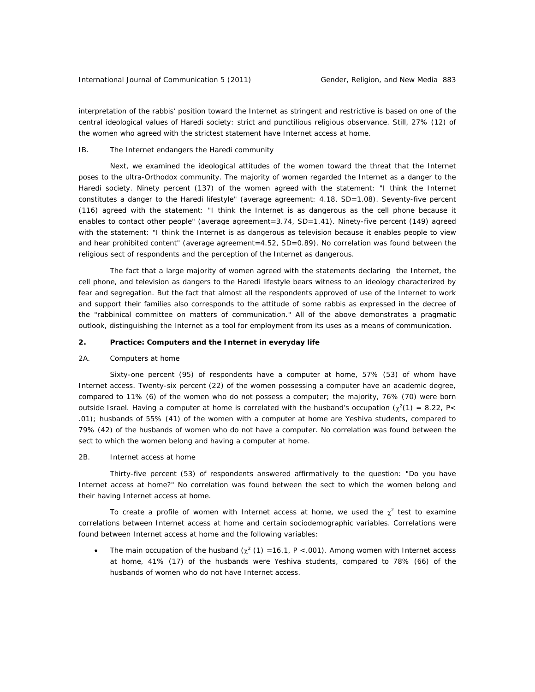interpretation of the rabbis' position toward the Internet as stringent and restrictive is based on one of the central ideological values of Haredi society: strict and punctilious religious observance. Still, 27% (12) of the women who agreed with the strictest statement have Internet access at home.

#### IB. The Internet endangers the Haredi community

Next, we examined the ideological attitudes of the women toward the threat that the Internet poses to the ultra-Orthodox community. The majority of women regarded the Internet as a danger to the Haredi society. Ninety percent (137) of the women agreed with the statement: "I think the Internet constitutes a danger to the Haredi lifestyle" (average agreement: 4.18, SD=1.08). Seventy-five percent (116) agreed with the statement: "I think the Internet is as dangerous as the cell phone because it enables to contact other people" (average agreement=3.74, SD=1.41). Ninety-five percent (149) agreed with the statement: "I think the Internet is as dangerous as television because it enables people to view and hear prohibited content" (average agreement=4.52, SD=0.89). No correlation was found between the religious sect of respondents and the perception of the Internet as dangerous.

The fact that a large majority of women agreed with the statements declaring the Internet, the cell phone, and television as dangers to the Haredi lifestyle bears witness to an ideology characterized by fear and segregation. But the fact that almost all the respondents approved of use of the Internet to work and support their families also corresponds to the attitude of some rabbis as expressed in the decree of the "rabbinical committee on matters of communication." All of the above demonstrates a pragmatic outlook, distinguishing the Internet as a tool for employment from its uses as a means of communication.

#### **2. Practice: Computers and the Internet in everyday life**

#### 2A. Computers at home

Sixty-one percent (95) of respondents have a computer at home, 57% (53) of whom have Internet access. Twenty-six percent (22) of the women possessing a computer have an academic degree, compared to 11% (6) of the women who do not possess a computer; the majority, 76% (70) were born outside Israel. Having a computer at home is correlated with the husband's occupation  $(\chi^2(1) = 8.22, P <$ .01); husbands of 55% (41) of the women with a computer at home are Yeshiva students, compared to 79% (42) of the husbands of women who do not have a computer. No correlation was found between the sect to which the women belong and having a computer at home.

#### 2B. Internet access at home

Thirty-five percent (53) of respondents answered affirmatively to the question: "Do you have Internet access at home?" No correlation was found between the sect to which the women belong and their having Internet access at home.

To create a profile of women with Internet access at home, we used the  $\chi^2$  test to examine correlations between Internet access at home and certain sociodemographic variables. Correlations were found between Internet access at home and the following variables:

• The main occupation of the husband  $(\chi^2(1) = 16.1, P < .001)$ . Among women with Internet access at home, 41% (17) of the husbands were Yeshiva students, compared to 78% (66) of the husbands of women who do not have Internet access.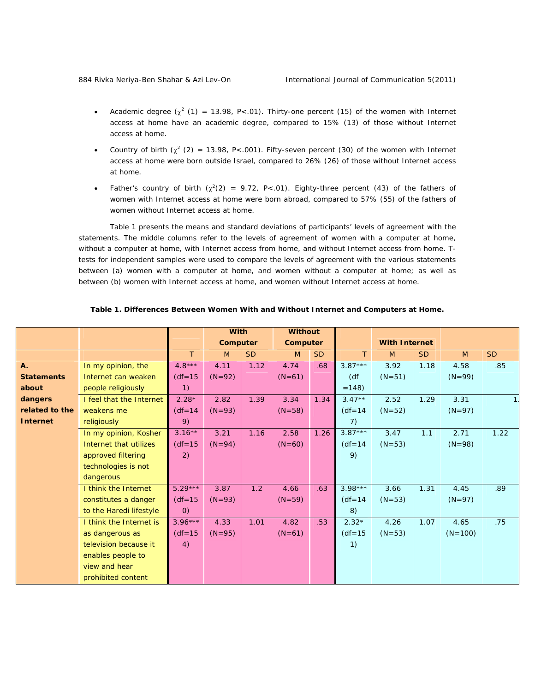- Academic degree  $(\chi^2(1) = 13.98, P<.01)$ . Thirty-one percent (15) of the women with Internet access at home have an academic degree, compared to 15% (13) of those without Internet access at home.
- Country of birth  $(\chi^2)(2) = 13.98$ , P<.001). Fifty-seven percent (30) of the women with Internet access at home were born outside Israel, compared to 26% (26) of those without Internet access at home.
- Father's country of birth  $(\chi^2(2) = 9.72, P<.01)$ . Eighty-three percent (43) of the fathers of women with Internet access at home were born abroad, compared to 57% (55) of the fathers of women without Internet access at home.

Table 1 presents the means and standard deviations of participants' levels of agreement with the statements. The middle columns refer to the levels of agreement of women with a computer at home, without a computer at home, with Internet access from home, and without Internet access from home. Ttests for independent samples were used to compare the levels of agreement with the various statements between (a) women with a computer at home, and women without a computer at home; as well as between (b) women with Internet access at home, and women without Internet access at home.

|                   |                          |                   | <b>With</b> |           | <b>Without</b> |           |                  |                      |           |           |           |
|-------------------|--------------------------|-------------------|-------------|-----------|----------------|-----------|------------------|----------------------|-----------|-----------|-----------|
|                   |                          |                   | Computer    |           | Computer       |           |                  | <b>With Internet</b> |           |           |           |
|                   |                          | $\tau$            | M           | <b>SD</b> | M              | <b>SD</b> | $\tau$           | M                    | <b>SD</b> | M         | <b>SD</b> |
| <b>A.</b>         | In my opinion, the       | 4.8 ***           | 4.11        | 1.12      | 4.74           | .68       | $3.87***$        | 3.92                 | 1.18      | 4.58      | .85       |
| <b>Statements</b> | Internet can weaken      | $(df=15)$         | $(N=92)$    |           | $(N=61)$       |           | (df <sup>2</sup> | $(N=51)$             |           | $(N=99)$  |           |
| about             | people religiously       | 1)                |             |           |                |           | $=148$           |                      |           |           |           |
| dangers           | I feel that the Internet | $2.28*$           | 2.82        | 1.39      | 3.34           | 1.34      | $3.47**$         | 2.52                 | 1.29      | 3.31      |           |
| related to the    | weakens me               | $(df=14)$         | $(N=93)$    |           | $(N=58)$       |           | $(df=14)$        | $(N=52)$             |           | $(N=97)$  |           |
| <b>Internet</b>   | religiously              | 9)                |             |           |                |           | 7)               |                      |           |           |           |
|                   | In my opinion, Kosher    | $3.16***$         | 3.21        | 1.16      | 2.58           | 1.26      | $3.87***$        | 3.47                 | 1.1       | 2.71      | 1.22      |
|                   | Internet that utilizes   | $(df=15$          | $(N=94)$    |           | $(N=60)$       |           | $(df = 14)$      | $(N=53)$             |           | $(N=98)$  |           |
|                   | approved filtering       | 2)                |             |           |                |           | 9)               |                      |           |           |           |
|                   | technologies is not      |                   |             |           |                |           |                  |                      |           |           |           |
|                   | dangerous                |                   |             |           |                |           |                  |                      |           |           |           |
|                   | I think the Internet     | 5.29 ***          | 3.87        | 1.2       | 4.66           | .63       | 3.98 ***         | 3.66                 | 1.31      | 4.45      | .89       |
|                   | constitutes a danger     | $(df = 15)$       | $(N=93)$    |           | $(N=59)$       |           | $(df = 14)$      | $(N=53)$             |           | $(N=97)$  |           |
|                   | to the Haredi lifestyle  | $\left( 0\right)$ |             |           |                |           | 8)               |                      |           |           |           |
|                   | I think the Internet is  | $3.96***$         | 4.33        | 1.01      | 4.82           | .53       | $2.32*$          | 4.26                 | 1.07      | 4.65      | .75       |
|                   | as dangerous as          | $(df=15)$         | $(N=95)$    |           | $(N=61)$       |           | $(df = 15)$      | $(N=53)$             |           | $(N=100)$ |           |
|                   | television because it    | 4)                |             |           |                |           | 1)               |                      |           |           |           |
|                   | enables people to        |                   |             |           |                |           |                  |                      |           |           |           |
|                   | view and hear            |                   |             |           |                |           |                  |                      |           |           |           |
|                   | prohibited content       |                   |             |           |                |           |                  |                      |           |           |           |

# *Table 1. Differences Between Women With and Without Internet and Computers at Home.*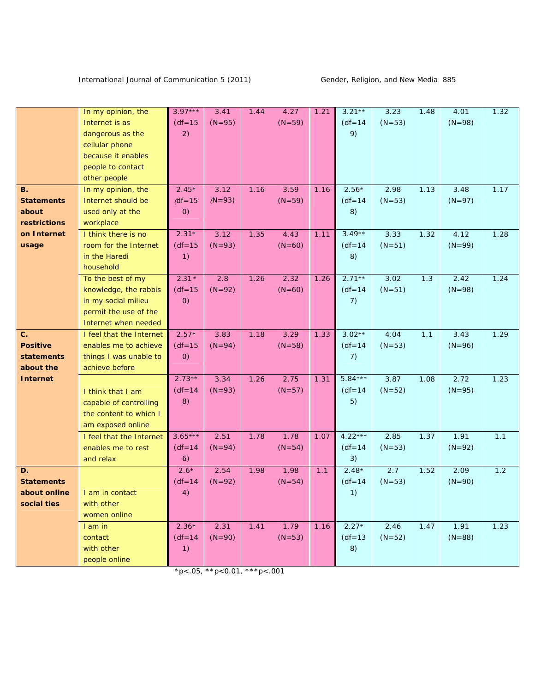|                   | In my opinion, the       | 3.97***     | 3.41     | 1.44 | 4.27     | 1.21 | $3.21**$    | 3.23     | 1.48 | 4.01     | 1.32 |
|-------------------|--------------------------|-------------|----------|------|----------|------|-------------|----------|------|----------|------|
|                   | Internet is as           | $(df = 15)$ | $(N=95)$ |      | $(N=59)$ |      | $(df = 14)$ | $(N=53)$ |      | $(N=98)$ |      |
|                   | dangerous as the         | 2)          |          |      |          |      | 9)          |          |      |          |      |
|                   | cellular phone           |             |          |      |          |      |             |          |      |          |      |
|                   | because it enables       |             |          |      |          |      |             |          |      |          |      |
|                   | people to contact        |             |          |      |          |      |             |          |      |          |      |
|                   | other people             |             |          |      |          |      |             |          |      |          |      |
| <b>B.</b>         | In my opinion, the       | $2.45*$     | 3.12     | 1.16 | 3.59     | 1.16 | $2.56*$     | 2.98     | 1.13 | 3.48     | 1.17 |
| <b>Statements</b> | Internet should be       | $(df=15$    | $(N=93)$ |      | $(N=59)$ |      | $(df = 14)$ | $(N=53)$ |      | $(N=97)$ |      |
|                   |                          |             |          |      |          |      |             |          |      |          |      |
| about             | used only at the         | O           |          |      |          |      | 8)          |          |      |          |      |
| restrictions      | workplace                |             |          |      |          |      |             |          |      |          |      |
| on Internet       | I think there is no      | $2.31*$     | 3.12     | 1.35 | 4.43     | 1.11 | $3.49**$    | 3.33     | 1.32 | 4.12     | 1.28 |
| usage             | room for the Internet    | $(df = 15)$ | $(N=93)$ |      | $(N=60)$ |      | $(df = 14)$ | $(N=51)$ |      | $(N=99)$ |      |
|                   | in the Haredi            | 1)          |          |      |          |      | 8)          |          |      |          |      |
|                   | household                |             |          |      |          |      |             |          |      |          |      |
|                   | To the best of my        | $2.31*$     | 2.8      | 1.26 | 2.32     | 1.26 | $2.71**$    | 3.02     | 1.3  | 2.42     | 1.24 |
|                   | knowledge, the rabbis    | $(df=15$    | $(N=92)$ |      | $(N=60)$ |      | $(df = 14)$ | $(N=51)$ |      | $(N=98)$ |      |
|                   | in my social milieu      | 0)          |          |      |          |      | 7)          |          |      |          |      |
|                   | permit the use of the    |             |          |      |          |      |             |          |      |          |      |
|                   | Internet when needed     |             |          |      |          |      |             |          |      |          |      |
| C.                | I feel that the Internet | $2.57*$     | 3.83     | 1.18 | 3.29     | 1.33 | $3.02**$    | 4.04     | 1.1  | 3.43     | 1.29 |
| <b>Positive</b>   | enables me to achieve    | $(df = 15)$ | $(N=94)$ |      | $(N=58)$ |      | $(df = 14)$ | $(N=53)$ |      | $(N=96)$ |      |
| statements        | things I was unable to   | (0)         |          |      |          |      | 7)          |          |      |          |      |
| about the         | achieve before           |             |          |      |          |      |             |          |      |          |      |
| <b>Internet</b>   |                          | $2.73**$    | 3.34     | 1.26 | 2.75     | 1.31 | 5.84 ***    | 3.87     | 1.08 | 2.72     | 1.23 |
|                   |                          | $(df = 14)$ | $(N=93)$ |      | $(N=57)$ |      | $(df = 14)$ | $(N=52)$ |      | $(N=95)$ |      |
|                   | I think that I am        | 8)          |          |      |          |      | 5)          |          |      |          |      |
|                   | capable of controlling   |             |          |      |          |      |             |          |      |          |      |
|                   | the content to which I   |             |          |      |          |      |             |          |      |          |      |
|                   | am exposed online        |             |          |      |          |      |             |          |      |          |      |
|                   | I feel that the Internet | $3.65***$   | 2.51     | 1.78 | 1.78     | 1.07 | 4.22 ***    | 2.85     | 1.37 | 1.91     | 1.1  |
|                   | enables me to rest       | $(df=14)$   | $(N=94)$ |      | $(N=54)$ |      | $(df = 14)$ | $(N=53)$ |      | $(N=92)$ |      |
|                   | and relax                | 6)          |          |      |          |      | 3)          |          |      |          |      |
| D.                |                          | $2.6*$      | 2.54     | 1.98 | 1.98     | 1.1  | $2.48*$     | 2.7      | 1.52 | 2.09     | 1.2  |
| <b>Statements</b> |                          | $(df=14)$   | $(N=92)$ |      | $(N=54)$ |      | $(df = 14)$ | $(N=53)$ |      | $(N=90)$ |      |
| about online      | I am in contact          | 4)          |          |      |          |      | 1)          |          |      |          |      |
| social ties       | with other               |             |          |      |          |      |             |          |      |          |      |
|                   | women online             |             |          |      |          |      |             |          |      |          |      |
|                   | I am in                  | $2.36*$     | 2.31     | 1.41 | 1.79     | 1.16 | $2.27*$     | 2.46     | 1.47 | 1.91     | 1.23 |
|                   | contact                  | $(df = 14)$ | $(N=90)$ |      | $(N=53)$ |      | $(df=13$    | $(N=52)$ |      | $(N=88)$ |      |
|                   | with other               | 1)          |          |      |          |      | 8)          |          |      |          |      |
|                   | people online            |             |          |      |          |      |             |          |      |          |      |
|                   |                          |             |          |      |          |      |             |          |      |          |      |

 $*p<.05, **p<0.01, **p<.001$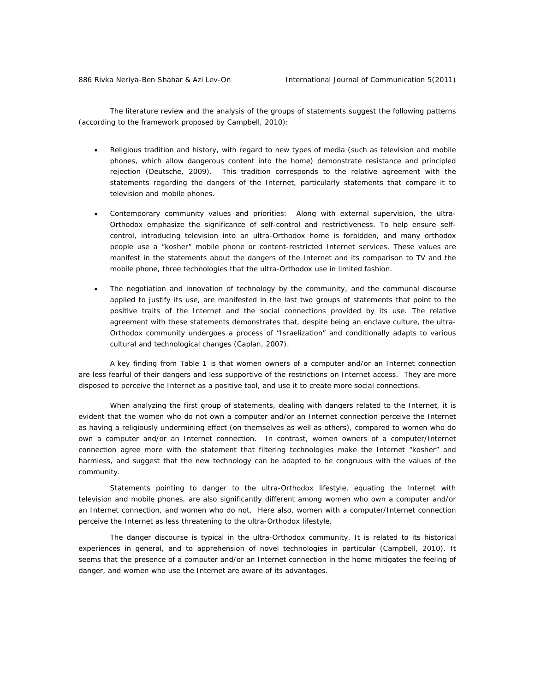The literature review and the analysis of the groups of statements suggest the following patterns (according to the framework proposed by Campbell, 2010):

- *Religious tradition and history*, with regard to new types of media (such as television and mobile phones, which allow dangerous content into the home) demonstrate resistance and principled rejection (Deutsche, 2009). This tradition corresponds to the relative agreement with the statements regarding the dangers of the Internet, particularly statements that compare it to television and mobile phones.
- *Contemporary community values and priorities:* Along with external supervision, the ultra-Orthodox emphasize the significance of self-control and restrictiveness. To help ensure selfcontrol, introducing television into an ultra-Orthodox home is forbidden, and many orthodox people use a "kosher" mobile phone or content-restricted Internet services. These values are manifest in the statements about the dangers of the Internet and its comparison to TV and the mobile phone, three technologies that the ultra-Orthodox use in limited fashion.
- *The negotiation and innovation of technology by the community, and the communal discourse applied to justify its use,* are manifested in the last two groups of statements that point to the positive traits of the Internet and the social connections provided by its use. The relative agreement with these statements demonstrates that, despite being an enclave culture, the ultra-Orthodox community undergoes a process of "Israelization" and conditionally adapts to various cultural and technological changes (Caplan, 2007).

A key finding from Table 1 is that women owners of a computer and/or an Internet connection are less fearful of their dangers and less supportive of the restrictions on Internet access. They are more disposed to perceive the Internet as a positive tool, and use it to create more social connections.

When analyzing the first group of statements, dealing with dangers related to the Internet, it is evident that the women who do not own a computer and/or an Internet connection perceive the Internet as having a religiously undermining effect (on themselves as well as others), compared to women who do own a computer and/or an Internet connection. In contrast, women owners of a computer/Internet connection agree more with the statement that filtering technologies make the Internet "kosher" and harmless, and suggest that the new technology can be adapted to be congruous with the values of the community.

Statements pointing to danger to the ultra-Orthodox lifestyle, equating the Internet with television and mobile phones, are also significantly different among women who own a computer and/or an Internet connection, and women who do not. Here also, women with a computer/Internet connection perceive the Internet as less threatening to the ultra-Orthodox lifestyle.

The danger discourse is typical in the ultra-Orthodox community. It is related to its historical experiences in general, and to apprehension of novel technologies in particular (Campbell, 2010). It seems that the presence of a computer and/or an Internet connection in the home mitigates the feeling of danger, and women who use the Internet are aware of its advantages.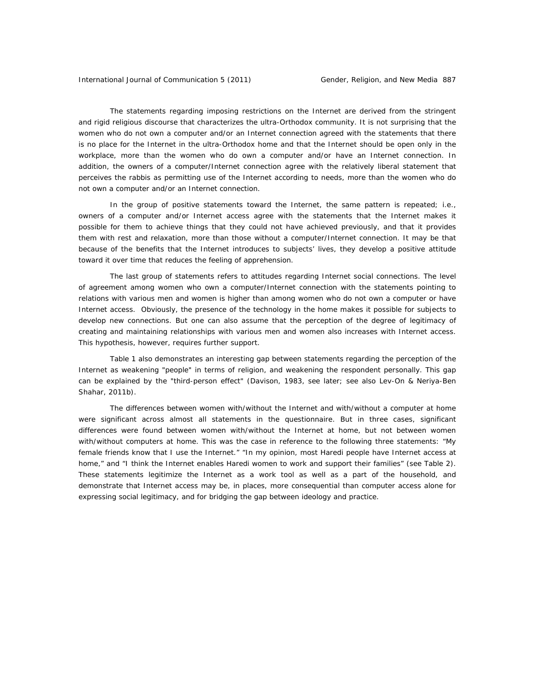The statements regarding imposing restrictions on the Internet are derived from the stringent and rigid religious discourse that characterizes the ultra-Orthodox community. It is not surprising that the women who do not own a computer and/or an Internet connection agreed with the statements that there is no place for the Internet in the ultra-Orthodox home and that the Internet should be open only in the workplace, more than the women who do own a computer and/or have an Internet connection. In addition, the owners of a computer/Internet connection agree with the relatively liberal statement that perceives the rabbis as permitting use of the Internet according to needs, more than the women who do not own a computer and/or an Internet connection.

 In the group of positive statements toward the Internet, the same pattern is repeated; i.e., owners of a computer and/or Internet access agree with the statements that the Internet makes it possible for them to achieve things that they could not have achieved previously, and that it provides them with rest and relaxation, more than those without a computer/Internet connection. It may be that because of the benefits that the Internet introduces to subjects' lives, they develop a positive attitude toward it over time that reduces the feeling of apprehension.

 The last group of statements refers to attitudes regarding Internet social connections. The level of agreement among women who own a computer/Internet connection with the statements pointing to relations with various men and women is higher than among women who do not own a computer or have Internet access. Obviously, the presence of the technology in the home makes it possible for subjects to develop new connections. But one can also assume that the perception of the degree of legitimacy of creating and maintaining relationships with various men and women also increases with Internet access. This hypothesis, however, requires further support.

 Table 1 also demonstrates an interesting gap between statements regarding the perception of the Internet as weakening "people" in terms of religion, and weakening the respondent personally. This gap can be explained by the "third-person effect" (Davison, 1983, see later; see also Lev-On & Neriya-Ben Shahar, 2011b).

 The differences between women with/without the Internet *and* with/without a computer at home were significant across almost all statements in the questionnaire. But in three cases, significant differences were found between women with/without the Internet at home, *but not between women with/without computers at home*. This was the case in reference to the following three statements: "My female friends know that I use the Internet." "In my opinion, most Haredi people have Internet access at home," and "I think the Internet enables Haredi women to work and support their families" (see Table 2). These statements legitimize the Internet as a work tool as well as a part of the household, and demonstrate that Internet access may be, in places, more consequential than computer access alone for expressing social legitimacy, and for bridging the gap between ideology and practice.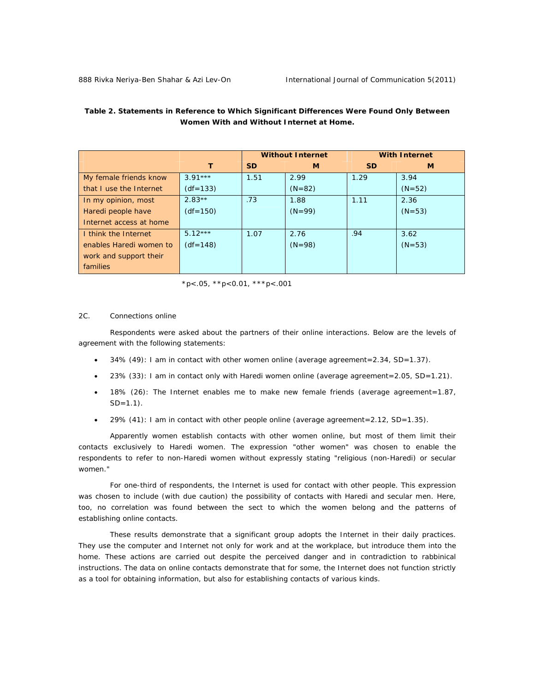|                         |            |           | <b>Without Internet</b> | <b>With Internet</b> |          |  |
|-------------------------|------------|-----------|-------------------------|----------------------|----------|--|
|                         | $\tau$     | <b>SD</b> | М                       | <b>SD</b>            | М        |  |
| My female friends know  | $3.91***$  | 1.51      | 2.99                    | 1.29                 | 3.94     |  |
| that I use the Internet | $(df=133)$ |           | $(N=82)$                |                      | $(N=52)$ |  |
| In my opinion, most     | $2.83**$   | .73       | 1.88                    | 1.11                 | 2.36     |  |
| Haredi people have      | $(df=150)$ |           | $(N=99)$                |                      | $(N=53)$ |  |
| Internet access at home |            |           |                         |                      |          |  |
| I think the Internet    | $5.12***$  | 1.07      | 2.76                    | .94                  | 3.62     |  |
| enables Haredi women to | $(df=148)$ |           | $(N=98)$                |                      | $(N=53)$ |  |
| work and support their  |            |           |                         |                      |          |  |
| families                |            |           |                         |                      |          |  |

# *Table 2. Statements in Reference to Which Significant Differences Were Found Only Between Women With and Without Internet at Home.*

 $*p$  <.05,  $*p$  < 0.01,  $**p$  <.001

#### 2C. Connections online

 Respondents were asked about the partners of their online interactions. Below are the levels of agreement with the following statements:

- 34% (49): I am in contact with other women online (average agreement=2.34, SD=1.37).
- 23% (33): I am in contact only with Haredi women online (average agreement=2.05, SD=1.21).
- 18% (26): The Internet enables me to make new female friends (average agreement=1.87,  $SD = 1.1$ ).
- 29%  $(41)$ : I am in contact with other people online (average agreement=2.12, SD=1.35).

Apparently women establish contacts with other women online, but most of them limit their contacts exclusively to Haredi women. The expression "other women" was chosen to enable the respondents to refer to non-Haredi women without expressly stating "religious (non-Haredi) or secular women."

For one-third of respondents, the Internet is used for contact with other people. This expression was chosen to include (with due caution) the possibility of contacts with Haredi and secular men. Here, too, no correlation was found between the sect to which the women belong and the patterns of establishing online contacts.

These results demonstrate that a significant group adopts the Internet in their daily practices. They use the computer and Internet not only for work and at the workplace, but introduce them into the home. These actions are carried out despite the perceived danger and in contradiction to rabbinical instructions. The data on online contacts demonstrate that for some, the Internet does not function strictly as a tool for obtaining information, but also for establishing contacts of various kinds.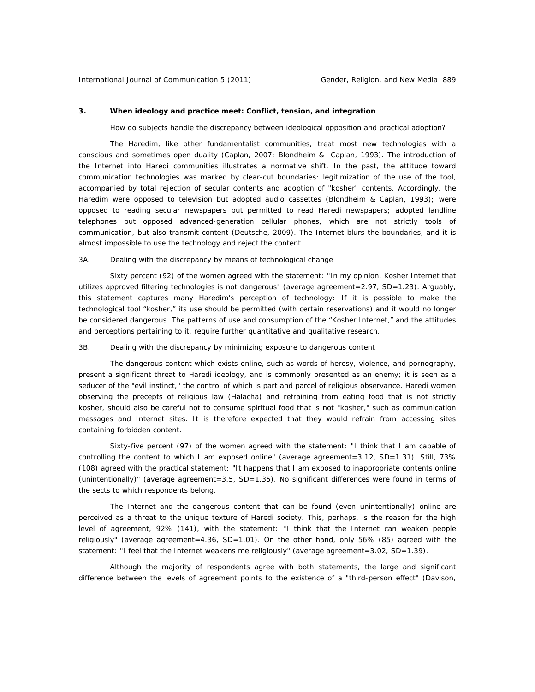# **3. When ideology and practice meet: Conflict, tension, and integration**

How do subjects handle the discrepancy between ideological opposition and practical adoption?

 The Haredim, like other fundamentalist communities, treat most new technologies with a conscious and sometimes open duality (Caplan, 2007; Blondheim & Caplan, 1993). The introduction of the Internet into Haredi communities illustrates a normative shift. In the past, the attitude toward communication technologies was marked by clear-cut boundaries: legitimization of the use of the tool, accompanied by total rejection of secular contents and adoption of "kosher" contents. Accordingly, the Haredim were opposed to television but adopted audio cassettes (Blondheim & Caplan, 1993); were opposed to reading secular newspapers but permitted to read Haredi newspapers; adopted landline telephones but opposed advanced-generation cellular phones, which are not strictly tools of communication, but also transmit content (Deutsche, 2009). The Internet blurs the boundaries, and it is almost impossible to use the technology and reject the content.

#### 3A. Dealing with the discrepancy by means of technological change

 Sixty percent (92) of the women agreed with the statement: "In my opinion, Kosher Internet that utilizes approved filtering technologies is not dangerous" (average agreement=2.97, SD=1.23). Arguably, this statement captures many Haredim's perception of technology: If it is possible to make the technological tool "kosher," its use should be permitted (with certain reservations) and it would no longer be considered dangerous. The patterns of use and consumption of the "Kosher Internet," and the attitudes and perceptions pertaining to it, require further quantitative and qualitative research.

3B. Dealing with the discrepancy by minimizing exposure to dangerous content

 The dangerous content which exists online, such as words of heresy, violence, and pornography, present a significant threat to Haredi ideology, and is commonly presented as an enemy; it is seen as a seducer of the "evil instinct," the control of which is part and parcel of religious observance. Haredi women observing the precepts of religious law (Halacha) and refraining from eating food that is not strictly kosher, should also be careful not to consume spiritual food that is not "kosher," such as communication messages and Internet sites. It is therefore expected that they would refrain from accessing sites containing forbidden content.

 Sixty-five percent (97) of the women agreed with the statement: "I think that I am capable of controlling the content to which I am exposed online" (average agreement=3.12, SD=1.31). Still, 73% (108) agreed with the practical statement: "It happens that I am exposed to inappropriate contents online (unintentionally)" (average agreement=3.5, SD=1.35). No significant differences were found in terms of the sects to which respondents belong.

 The Internet and the dangerous content that can be found (even unintentionally) online are perceived as a threat to the unique texture of Haredi society. This, perhaps, is the reason for the high level of agreement, 92% (141), with the statement: "I think that the Internet can weaken people religiously" (average agreement=4.36, SD=1.01). On the other hand, only 56% (85) agreed with the statement: "I feel that the Internet weakens me religiously" (average agreement=3.02, SD=1.39).

 Although the majority of respondents agree with both statements, the large and significant difference between the levels of agreement points to the existence of a "third-person effect" (Davison,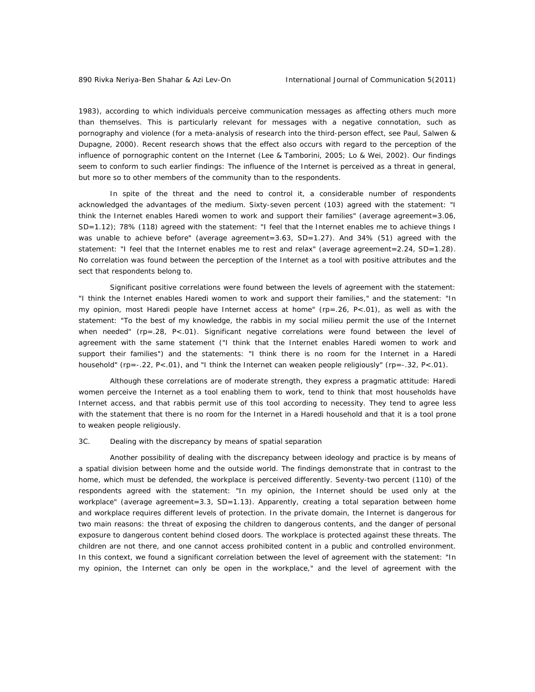1983), according to which individuals perceive communication messages as affecting others much more than themselves. This is particularly relevant for messages with a negative connotation, such as pornography and violence (for a meta-analysis of research into the third-person effect, see Paul, Salwen & Dupagne, 2000). Recent research shows that the effect also occurs with regard to the perception of the influence of pornographic content on the Internet (Lee & Tamborini, 2005; Lo & Wei, 2002). Our findings seem to conform to such earlier findings: The influence of the Internet is perceived as a threat in general, but more so to other members of the community than to the respondents.

 In spite of the threat and the need to control it, a considerable number of respondents acknowledged the advantages of the medium. Sixty-seven percent (103) agreed with the statement: "I think the Internet enables Haredi women to work and support their families" (average agreement=3.06, SD=1.12); 78% (118) agreed with the statement: "I feel that the Internet enables me to achieve things I was unable to achieve before" (average agreement=3.63, SD=1.27). And 34% (51) agreed with the statement: "I feel that the Internet enables me to rest and relax" (average agreement=2.24, SD=1.28). No correlation was found between the perception of the Internet as a tool with positive attributes and the sect that respondents belong to.

 Significant positive correlations were found between the levels of agreement with the statement: "I think the Internet enables Haredi women to work and support their families," and the statement: "In my opinion, most Haredi people have Internet access at home" (rp=.26, P<.01), as well as with the statement: "To the best of my knowledge, the rabbis in my social milieu permit the use of the Internet when needed" (rp=.28, P<.01). Significant negative correlations were found between the level of agreement with the same statement ("I think that the Internet enables Haredi women to work and support their families") and the statements: "I think there is no room for the Internet in a Haredi household" (rp=-.22, P<.01), and "I think the Internet can weaken people religiously" (rp=-.32, P<.01).

 Although these correlations are of moderate strength, they express a pragmatic attitude: Haredi women perceive the Internet as a tool enabling them to work, tend to think that most households have Internet access, and that rabbis permit use of this tool according to necessity. They tend to agree less with the statement that there is no room for the Internet in a Haredi household and that it is a tool prone to weaken people religiously.

# 3C. Dealing with the discrepancy by means of spatial separation

 Another possibility of dealing with the discrepancy between ideology and practice is by means of a spatial division between home and the outside world. The findings demonstrate that in contrast to the home, which must be defended, the workplace is perceived differently. Seventy-two percent (110) of the respondents agreed with the statement: "In my opinion, the Internet should be used only at the workplace" (average agreement=3.3, SD=1.13). Apparently, creating a total separation between home and workplace requires different levels of protection. In the private domain, the Internet is dangerous for two main reasons: the threat of exposing the children to dangerous contents, and the danger of personal exposure to dangerous content behind closed doors. The workplace is protected against these threats. The children are not there, and one cannot access prohibited content in a public and controlled environment. In this context, we found a significant correlation between the level of agreement with the statement: "In my opinion, the Internet can only be open in the workplace," and the level of agreement with the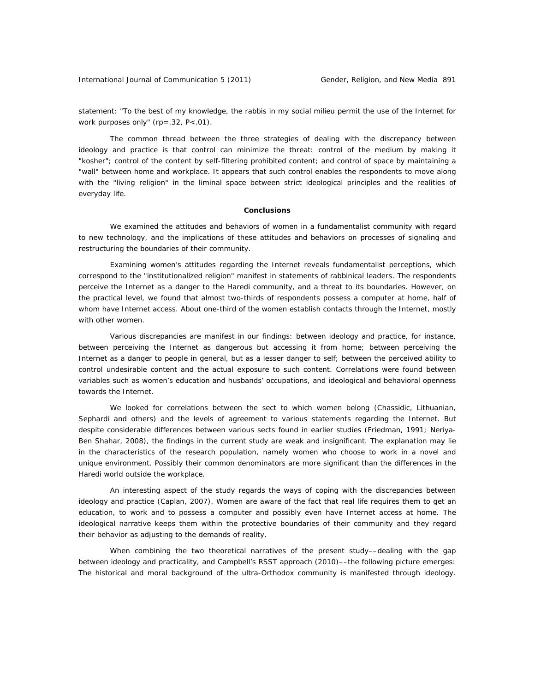International Journal of Communication 5 (2011) Gender, Religion, and New Media 891

statement: "To the best of my knowledge, the rabbis in my social milieu permit the use of the Internet for work purposes only" (rp=.32, P<.01).

 The common thread between the three strategies of dealing with the discrepancy between ideology and practice is that control can minimize the threat: control of the medium by making it "kosher"; control of the content by self-filtering prohibited content; and control of space by maintaining a "wall" between home and workplace. It appears that such control enables the respondents to move along with the "living religion" in the liminal space between strict ideological principles and the realities of everyday life.

# **Conclusions**

 We examined the attitudes and behaviors of women in a fundamentalist community with regard to new technology, and the implications of these attitudes and behaviors on processes of signaling and restructuring the boundaries of their community.

 Examining women's attitudes regarding the Internet reveals fundamentalist perceptions, which correspond to the "institutionalized religion" manifest in statements of rabbinical leaders. The respondents perceive the Internet as a danger to the Haredi community, and a threat to its boundaries. However, on the practical level, we found that almost two-thirds of respondents possess a computer at home, half of whom have Internet access. About one-third of the women establish contacts through the Internet, mostly with other women.

 Various discrepancies are manifest in our findings: between ideology and practice, for instance, between perceiving the Internet as dangerous but accessing it from home; between perceiving the Internet as a danger to people in general, but as a lesser danger to self; between the perceived ability to control undesirable content and the actual exposure to such content. Correlations were found between variables such as women's education and husbands' occupations, and ideological and behavioral openness towards the Internet.

 We looked for correlations between the sect to which women belong (Chassidic, Lithuanian, Sephardi and others) and the levels of agreement to various statements regarding the Internet. But despite considerable differences between various sects found in earlier studies (Friedman, 1991; Neriya-Ben Shahar, 2008), the findings in the current study are weak and insignificant. The explanation may lie in the characteristics of the research population, namely women who choose to work in a novel and unique environment. Possibly their common denominators are more significant than the differences in the Haredi world outside the workplace.

 An interesting aspect of the study regards the ways of coping with the discrepancies between ideology and practice (Caplan, 2007). Women are aware of the fact that real life requires them to get an education, to work and to possess a computer and possibly even have Internet access at home. The ideological narrative keeps them within the protective boundaries of their community and they regard their behavior as adjusting to the demands of reality.

 When combining the two theoretical narratives of the present study––dealing with the gap between ideology and practicality, and Campbell's RSST approach (2010)––the following picture emerges: The historical and moral background of the ultra-Orthodox community is manifested through ideology.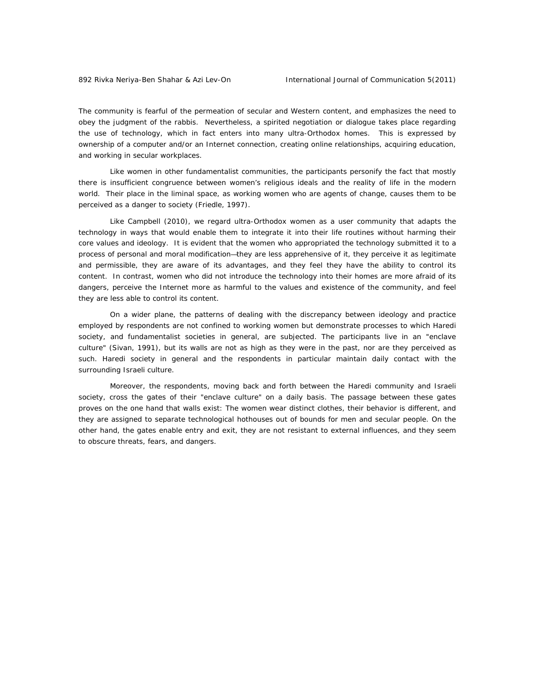The community is fearful of the permeation of secular and Western content, and emphasizes the need to obey the judgment of the rabbis. Nevertheless, a spirited negotiation or dialogue takes place regarding the use of technology, which in fact enters into many ultra-Orthodox homes. This is expressed by ownership of a computer and/or an Internet connection, creating online relationships, acquiring education, and working in secular workplaces.

 Like women in other fundamentalist communities, the participants personify the fact that mostly there is insufficient congruence between women's religious ideals and the reality of life in the modern world. Their place in the liminal space, as working women who are agents of change, causes them to be perceived as a danger to society (Friedle, 1997).

 Like Campbell (2010), we regard ultra-Orthodox women as a user community that adapts the technology in ways that would enable them to integrate it into their life routines without harming their core values and ideology. It is evident that the women who appropriated the technology submitted it to a process of personal and moral modification—they are less apprehensive of it, they perceive it as legitimate and permissible, they are aware of its advantages, and they feel they have the ability to control its content. In contrast, women who did not introduce the technology into their homes are more afraid of its dangers, perceive the Internet more as harmful to the values and existence of the community, and feel they are less able to control its content.

 On a wider plane, the patterns of dealing with the discrepancy between ideology and practice employed by respondents are not confined to working women but demonstrate processes to which Haredi society, and fundamentalist societies in general, are subjected. The participants live in an "enclave culture" (Sivan, 1991), but its walls are not as high as they were in the past, nor are they perceived as such. Haredi society in general and the respondents in particular maintain daily contact with the surrounding Israeli culture.

 Moreover, the respondents, moving back and forth between the Haredi community and Israeli society, cross the gates of their "enclave culture" on a daily basis. The passage between these gates proves on the one hand that walls exist: The women wear distinct clothes, their behavior is different, and they are assigned to separate technological hothouses out of bounds for men and secular people. On the other hand, the gates enable entry and exit, they are not resistant to external influences, and they seem to obscure threats, fears, and dangers.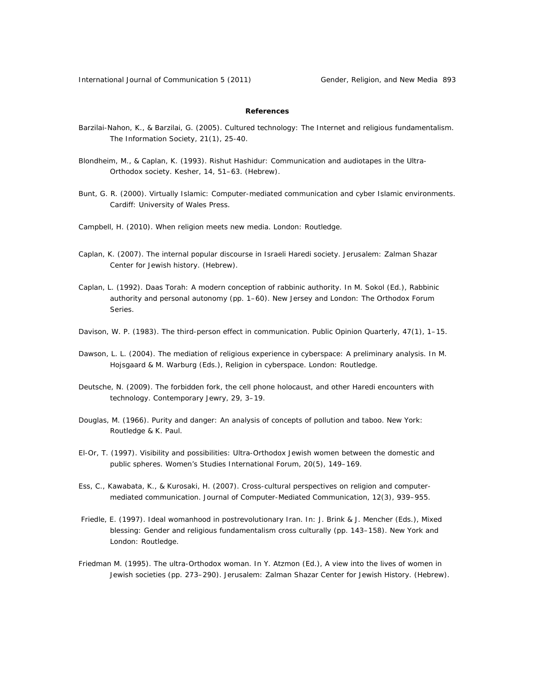# **References**

- Barzilai-Nahon, K., & Barzilai, G. (2005). Cultured technology: The Internet and religious fundamentalism. *The Information Society, 21*(1), 25-40.
- Blondheim, M., & Caplan, K. (1993). Rishut Hashidur: Communication and audiotapes in the Ultra-Orthodox society. *Kesher*, *14*, 51–63. (Hebrew).
- Bunt, G. R. (2000). *Virtually Islamic: Computer-mediated communication and cyber Islamic environments*. Cardiff: University of Wales Press.
- Campbell, H. (2010). *When religion meets new media.* London: Routledge.
- Caplan, K. (2007). *The internal popular discourse in Israeli Haredi society*. Jerusalem: Zalman Shazar Center for Jewish history. (Hebrew).
- Caplan, L. (1992). Daas Torah: A modern conception of rabbinic authority. In M. Sokol (Ed.), *Rabbinic authority and personal autonomy* (pp. 1–60). New Jersey and London: The Orthodox Forum Series.
- Davison, W. P. (1983). The third-person effect in communication. *Public Opinion Quarterly, 47*(1), 1–15.
- Dawson, L. L. (2004). The mediation of religious experience in cyberspace: A preliminary analysis. In M. Hojsgaard & M. Warburg (Eds.), *Religion in cyberspace.* London: Routledge.
- Deutsche, N. (2009). The forbidden fork, the cell phone holocaust, and other Haredi encounters with technology. *Contemporary Jewry, 29*, 3–19.
- Douglas, M. (1966). *Purity and danger: An analysis of concepts of pollution and taboo.* New York: Routledge & K. Paul.
- El-Or, T. (1997). Visibility and possibilities: Ultra-Orthodox Jewish women between the domestic and public spheres*. Women's Studies International Forum, 20*(5), 149–169.
- Ess, C., Kawabata, K., & Kurosaki, H. (2007). Cross-cultural perspectives on religion and computermediated communication. *Journal of Computer-Mediated Communication, 12*(3), 939–955.
- Friedle, E. (1997). Ideal womanhood in postrevolutionary Iran. In: J. Brink & J. Mencher (Eds.), *Mixed blessing: Gender and religious fundamentalism cross culturally* (pp. 143–158). New York and London: Routledge.
- Friedman M. (1995). The ultra-Orthodox woman. In Y. Atzmon (Ed.), *A view into the lives of women in Jewish societies* (pp. 273–290). Jerusalem: Zalman Shazar Center for Jewish History. (Hebrew).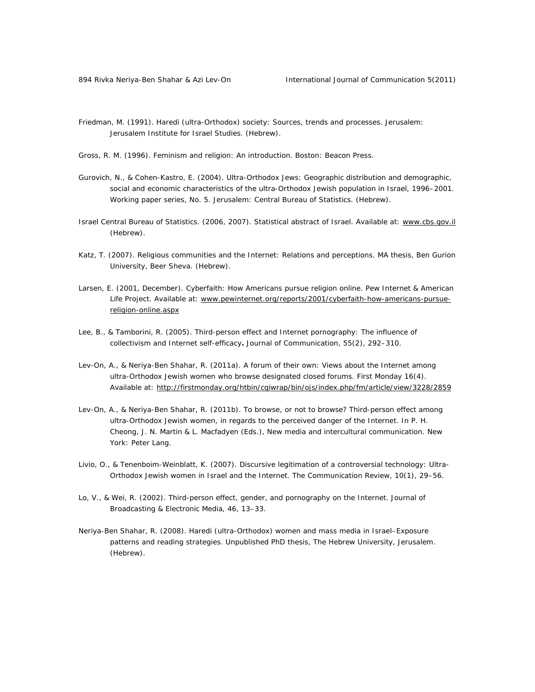- Friedman, M. (1991). *Haredi (ultra-Orthodox) society: Sources, trends and processes.* Jerusalem: Jerusalem Institute for Israel Studies. (Hebrew).
- Gross, R. M. (1996). *Feminism and religion: An introduction*. Boston: Beacon Press.
- Gurovich, N., & Cohen-Kastro, E. (2004). *Ultra-Orthodox Jews: Geographic distribution and demographic, social and economic characteristics of the ultra-Orthodox Jewish population in Israel, 1996–2001*. Working paper series, No. 5. Jerusalem: Central Bureau of Statistics. (Hebrew).
- Israel Central Bureau of Statistics. (2006, 2007). *Statistical abstract of Israel*. Available at: www.cbs.gov.il (Hebrew).
- Katz, T. (2007). *Religious communities and the Internet: Relations and perceptions*. MA thesis, Ben Gurion University, Beer Sheva. (Hebrew).
- Larsen, E. (2001, December). *Cyberfaith: How Americans pursue religion online*. Pew Internet & American Life Project. Available at: www.pewinternet.org/reports/2001/cyberfaith-how-americans-pursuereligion-online.aspx
- Lee, B., & Tamborini, R. (2005). Third-person effect and Internet pornography: The influence of collectivism and Internet self-efficacy**.** *Journal of Communication*, *55*(2), 292–310.
- Lev-On, A., & Neriya-Ben Shahar, R. (2011a). A forum of their own: Views about the Internet among ultra-Orthodox Jewish women who browse designated closed forums. *First Monday 16*(4). Available at: http://firstmonday.org/htbin/cgiwrap/bin/ojs/index.php/fm/article/view/3228/2859
- Lev-On, A., & Neriya-Ben Shahar, R. (2011b). To browse, or not to browse? Third-person effect among ultra-Orthodox Jewish women, in regards to the perceived danger of the Internet. In P. H. Cheong, J. N. Martin & L. Macfadyen (Eds.), *New media and intercultural communication*. New York: Peter Lang.
- Livio, O., & Tenenboim-Weinblatt, K. (2007). Discursive legitimation of a controversial technology: Ultra-Orthodox Jewish women in Israel and the Internet. *The Communication Review, 10*(1), 29–56.
- Lo, V., & Wei, R. (2002). Third-person effect, gender, and pornography on the Internet. *Journal of Broadcasting & Electronic Media*, *46*, 13–33.
- Neriya-Ben Shahar, R. (2008). *Haredi (ultra-Orthodox) women and mass media in Israel–Exposure patterns and reading strategies*. Unpublished PhD thesis, The Hebrew University, Jerusalem. (Hebrew).